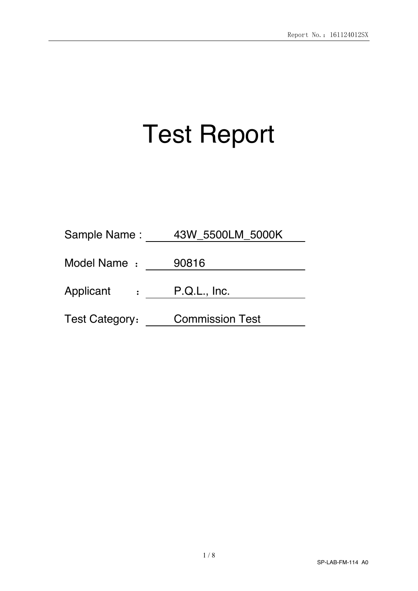# Test Report

| Sample Name:                | 43W 5500LM 5000K       |
|-----------------------------|------------------------|
| Model Name :                | 90816                  |
| Applicant<br>$\ddot{\cdot}$ | P.Q.L., Inc.           |
| <b>Test Category:</b>       | <b>Commission Test</b> |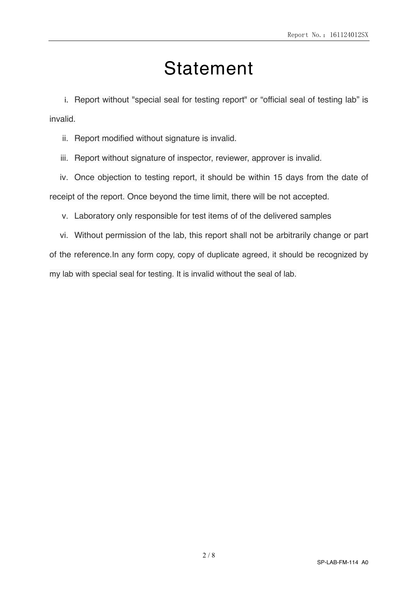# Statement

i. Report without "special seal for testing report" or "official seal of testing lab" is invalid.

ii. Report modified without signature is invalid.

iii. Report without signature of inspector, reviewer, approver is invalid.

iv. Once objection to testing report, it should be within 15 days from the date of receipt of the report. Once beyond the time limit, there will be not accepted.

v. Laboratory only responsible for test items of of the delivered samples

vi. Without permission of the lab, this report shall not be arbitrarily change or part of the reference.In any form copy, copy of duplicate agreed, it should be recognized by my lab with special seal for testing. It is invalid without the seal of lab.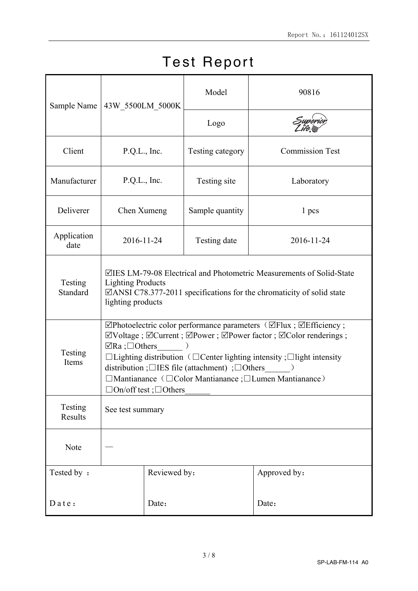| Sample Name         |                                                                                                                                                                                                                                                                                                                                                                                              |                                                                                                                                                                                                                                                     | Model | 90816                  |  |  |  |
|---------------------|----------------------------------------------------------------------------------------------------------------------------------------------------------------------------------------------------------------------------------------------------------------------------------------------------------------------------------------------------------------------------------------------|-----------------------------------------------------------------------------------------------------------------------------------------------------------------------------------------------------------------------------------------------------|-------|------------------------|--|--|--|
|                     |                                                                                                                                                                                                                                                                                                                                                                                              | 43W_5500LM_5000K<br>Logo<br>P.Q.L., Inc.<br>Testing category<br>P.Q.L., Inc.<br>Testing site<br>Sample quantity<br>Chen Xumeng<br>1 pcs<br>2016-11-24<br>Testing date<br>$\lambda$<br>$\overline{\phantom{a}}$<br>$\Box$ On/off test; $\Box$ Others |       |                        |  |  |  |
| Client              |                                                                                                                                                                                                                                                                                                                                                                                              |                                                                                                                                                                                                                                                     |       | <b>Commission Test</b> |  |  |  |
| Manufacturer        |                                                                                                                                                                                                                                                                                                                                                                                              |                                                                                                                                                                                                                                                     |       | Laboratory             |  |  |  |
| Deliverer           |                                                                                                                                                                                                                                                                                                                                                                                              |                                                                                                                                                                                                                                                     |       |                        |  |  |  |
| Application<br>date |                                                                                                                                                                                                                                                                                                                                                                                              |                                                                                                                                                                                                                                                     |       | 2016-11-24             |  |  |  |
| Testing<br>Standard | ⊠IES LM-79-08 Electrical and Photometric Measurements of Solid-State<br><b>Lighting Products</b><br>$\Box$ ANSI C78.377-2011 specifications for the chromaticity of solid state<br>lighting products                                                                                                                                                                                         |                                                                                                                                                                                                                                                     |       |                        |  |  |  |
| Testing<br>Items    | ⊠Photoelectric color performance parameters (ØFlux ; ØEfficiency ;<br>⊠Voltage; <b>ØCurrent</b> ; ØPower; ØPower factor; ØColor renderings;<br>$\Box$ Ra ; $\Box$ Others<br>$\Box$ Lighting distribution ( $\Box$ Center lighting intensity ; $\Box$ light intensity<br>distribution ; $\Box$ IES file (attachment) ; $\Box$ Others<br>□Mantianance (□Color Mantianance ;□Lumen Mantianance) |                                                                                                                                                                                                                                                     |       |                        |  |  |  |
| Testing<br>Results  | See test summary                                                                                                                                                                                                                                                                                                                                                                             |                                                                                                                                                                                                                                                     |       |                        |  |  |  |
| Note                |                                                                                                                                                                                                                                                                                                                                                                                              |                                                                                                                                                                                                                                                     |       |                        |  |  |  |
| Tested by:          |                                                                                                                                                                                                                                                                                                                                                                                              | Reviewed by:                                                                                                                                                                                                                                        |       | Approved by:           |  |  |  |
| Date:               |                                                                                                                                                                                                                                                                                                                                                                                              | Date:                                                                                                                                                                                                                                               |       | Date:                  |  |  |  |

## Test Report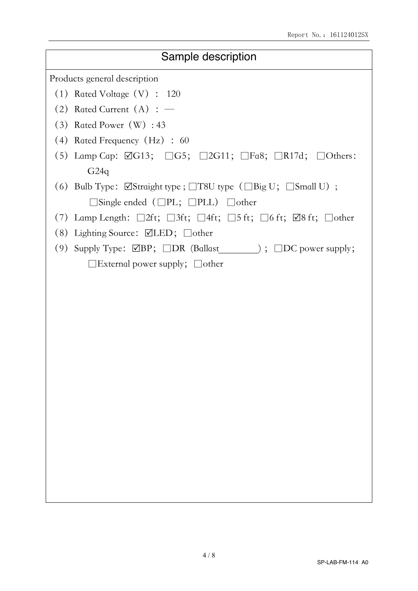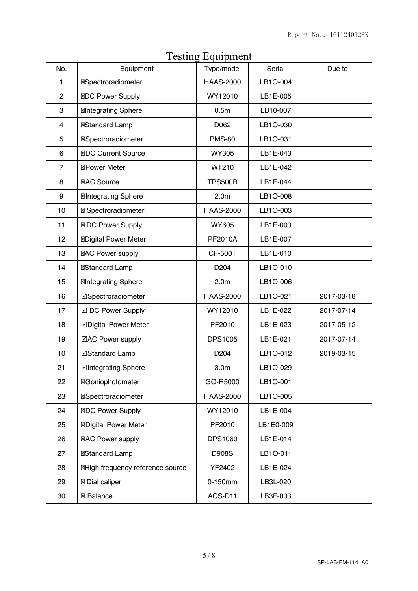| No.            | Equipment                       | Type/model       | Serial    | Due to     |
|----------------|---------------------------------|------------------|-----------|------------|
| 1              | Spectroradiometer               | <b>HAAS-2000</b> | LB1O-004  |            |
| $\mathbf{2}$   | DC Power Supply                 | WY12010          | LB1E-005  |            |
| 3              | <b>Integrating Sphere</b>       | 0.5 <sub>m</sub> | LB10-007  |            |
| 4              | Standard Lamp                   | D062             | LB1O-030  |            |
| 5              | Spectroradiometer               | <b>PMS-80</b>    | LB1O-031  |            |
| 6              | <b>DC Current Source</b>        | <b>WY305</b>     | LB1E-043  |            |
| $\overline{7}$ | <b>Power Meter</b>              | WT210            | LB1E-042  |            |
| 8              | <b>AC Source</b>                | <b>TPS500B</b>   | LB1E-044  |            |
| 9              | <b>Integrating Sphere</b>       | 2.0 <sub>m</sub> | LB1O-008  |            |
| 10             | Spectroradiometer               | <b>HAAS-2000</b> | LB1O-003  |            |
| 11             | DC Power Supply                 | <b>WY605</b>     | LB1E-003  |            |
| 12             | <b>Digital Power Meter</b>      | PF2010A          | LB1E-007  |            |
| 13             | <b>AC Power supply</b>          | <b>CF-500T</b>   | LB1E-010  |            |
| 14             | Standard Lamp                   | D <sub>204</sub> | LB1O-010  |            |
| 15             | <b>Integrating Sphere</b>       | 2.0 <sub>m</sub> | LB1O-006  |            |
| 16             | ⊠Spectroradiometer              | <b>HAAS-2000</b> | LB1O-021  | 2017-03-18 |
| 17             | ☑ DC Power Supply               | WY12010          | LB1E-022  | 2017-07-14 |
| 18             | ☑Digital Power Meter            | PF2010           | LB1E-023  | 2017-05-12 |
| 19             | ⊠AC Power supply                | <b>DPS1005</b>   | LB1E-021  | 2017-07-14 |
| 10             | ⊠Standard Lamp                  | D <sub>204</sub> | LB1O-012  | 2019-03-15 |
| 21             | ⊠Integrating Sphere             | 3.0 <sub>m</sub> | LB1O-029  |            |
| 22             | Goniophotometer                 | GO-R5000         | LB1O-001  |            |
| 23             | Spectroradiometer               | <b>HAAS-2000</b> | LB1O-005  |            |
| 24             | DC Power Supply                 | WY12010          | LB1E-004  |            |
| 25             | <b>Digital Power Meter</b>      | PF2010           | LB1E0-009 |            |
| 26             | AC Power supply                 | <b>DPS1060</b>   | LB1E-014  |            |
| 27             | <b>Standard Lamp</b>            | <b>D908S</b>     | LB1O-011  |            |
| 28             | High frequency reference source | YF2402           | LB1E-024  |            |
| 29             | Dial caliper                    | 0-150mm          | LB3L-020  |            |
| 30             | Balance                         | ACS-D11          | LB3F-003  |            |
|                |                                 |                  |           |            |

## Testing Equipment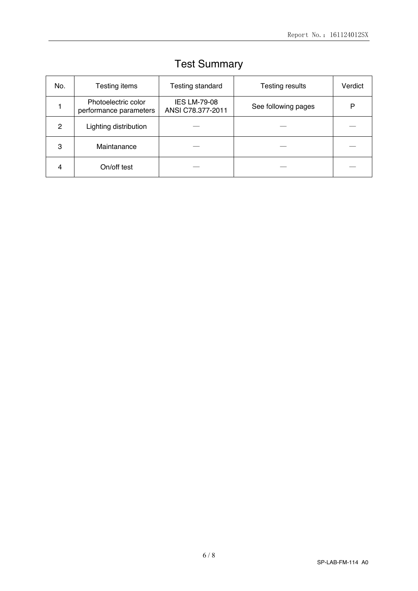| No.           | Testing items                                 | <b>Testing standard</b>                  | <b>Testing results</b> | Verdict |
|---------------|-----------------------------------------------|------------------------------------------|------------------------|---------|
|               | Photoelectric color<br>performance parameters | <b>IES LM-79-08</b><br>ANSI C78.377-2011 | See following pages    | P       |
| $\mathcal{P}$ | Lighting distribution                         |                                          |                        |         |
| 3             | Maintanance                                   |                                          |                        |         |
| 4             | On/off test                                   |                                          |                        |         |

## Test Summary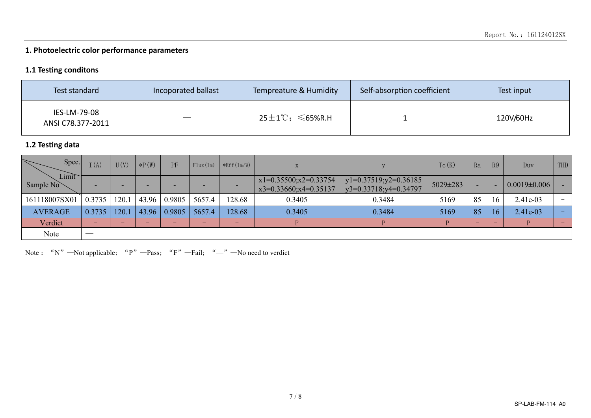### **1. Photoelectric color performance parameters**

#### 1.1 Testing conditons

| Test standard                     | Incoporated ballast | Tempreature & Humidity                    | Self-absorption coefficient | Test input |
|-----------------------------------|---------------------|-------------------------------------------|-----------------------------|------------|
| IES-LM-79-08<br>ANSI C78.377-2011 |                     | 25 $\pm$ 1 $^\circ$ C; $\leqslant$ 65%R.H |                             | 120V/60Hz  |

#### **1.2 Testng data**

| Spec.<br>$\overline{\diagdown}$ | I(A)   | U(V)  | $*P(W)$ | PF     | Flux(1m) | $*Eff(1m/W)$ |                                                      |                                                         | Tc(K)    | Ra  | R9                       | $_{\text{Div}}$    | THD                      |
|---------------------------------|--------|-------|---------|--------|----------|--------------|------------------------------------------------------|---------------------------------------------------------|----------|-----|--------------------------|--------------------|--------------------------|
| Limit<br>Sample No              | -      |       |         |        |          |              | $x1=0.35500; x2=0.33754$<br>$x3=0.33660; x4=0.35137$ | $y1=0.37519; y2=0.36185$<br>$y3=0.33718$ ; $y4=0.34797$ | 5029±283 |     |                          | $0.0019 \pm 0.006$ |                          |
| 161118007SX01                   | 0.3735 | 120.1 | 43.96   | 0.9805 | 5657.4   | !28.68       | 0.3405                                               | 0.3484                                                  | 5169     | 85  | 16                       | 2.41e-03           | $\overline{\phantom{m}}$ |
| <b>AVERAGE</b>                  | 0.3735 | 120.1 | 43.96   | 0.9805 | 5657.4   | 128.68       | 0.3405                                               | 0.3484                                                  | 5169     | 85  | 16                       | 2.41e-03           | $\overline{\phantom{a}}$ |
| Verdict                         | -      |       |         |        |          |              |                                                      |                                                         |          | $-$ | $\overline{\phantom{0}}$ |                    | $\overline{\phantom{0}}$ |
| Note                            |        |       |         |        |          |              |                                                      |                                                         |          |     |                          |                    |                          |

Note : "N"—Not applicable; "P"—Pass; "F"—Fail; "—"—No need to verdict